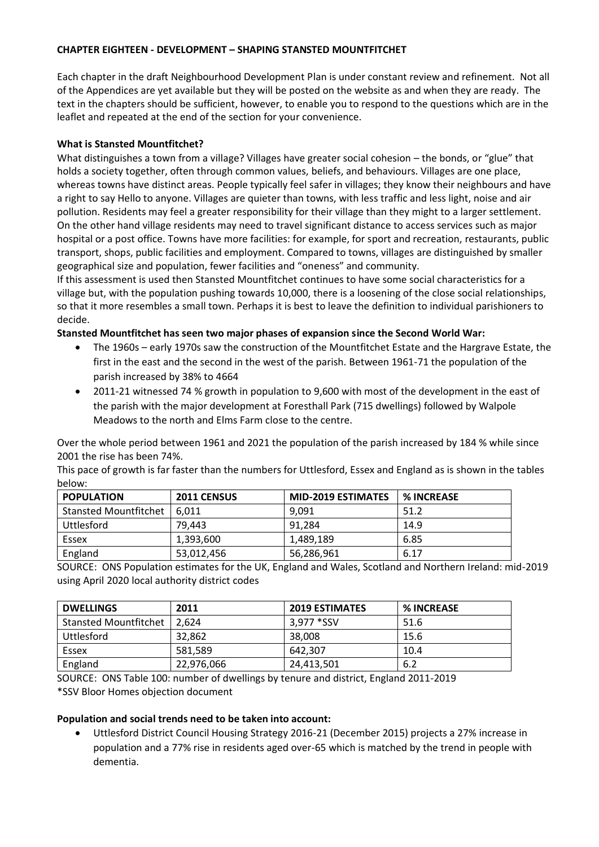# **CHAPTER EIGHTEEN - DEVELOPMENT – SHAPING STANSTED MOUNTFITCHET**

Each chapter in the draft Neighbourhood Development Plan is under constant review and refinement. Not all of the Appendices are yet available but they will be posted on the website as and when they are ready. The text in the chapters should be sufficient, however, to enable you to respond to the questions which are in the leaflet and repeated at the end of the section for your convenience.

# **What is Stansted Mountfitchet?**

What distinguishes a town from a village? Villages have greater social cohesion – the bonds, or "glue" that holds a society together, often through common values, beliefs, and behaviours. Villages are one place, whereas towns have distinct areas. People typically feel safer in villages; they know their neighbours and have a right to say Hello to anyone. Villages are quieter than towns, with less traffic and less light, noise and air pollution. Residents may feel a greater responsibility for their village than they might to a larger settlement. On the other hand village residents may need to travel significant distance to access services such as major hospital or a post office. Towns have more facilities: for example, for sport and recreation, restaurants, public transport, shops, public facilities and employment. Compared to towns, villages are distinguished by smaller geographical size and population, fewer facilities and "oneness" and community.

If this assessment is used then Stansted Mountfitchet continues to have some social characteristics for a village but, with the population pushing towards 10,000, there is a loosening of the close social relationships, so that it more resembles a small town. Perhaps it is best to leave the definition to individual parishioners to decide.

**Stansted Mountfitchet has seen two major phases of expansion since the Second World War:**

- The 1960s early 1970s saw the construction of the Mountfitchet Estate and the Hargrave Estate, the first in the east and the second in the west of the parish. Between 1961-71 the population of the parish increased by 38% to 4664
- 2011-21 witnessed 74 % growth in population to 9,600 with most of the development in the east of the parish with the major development at Foresthall Park (715 dwellings) followed by Walpole Meadows to the north and Elms Farm close to the centre.

Over the whole period between 1961 and 2021 the population of the parish increased by 184 % while since 2001 the rise has been 74%.

This pace of growth is far faster than the numbers for Uttlesford, Essex and England as is shown in the tables below:

| <b>POPULATION</b>            | <b>2011 CENSUS</b> | <b>MID-2019 ESTIMATES</b> | <b>% INCREASE</b> |
|------------------------------|--------------------|---------------------------|-------------------|
| <b>Stansted Mountfitchet</b> | 6.011              | 9.091                     | 51.2              |
| Uttlesford                   | 79.443             | 91.284                    | 14.9              |
| Essex                        | 1,393,600          | 1,489,189                 | 6.85              |
| England                      | 53,012,456         | 56,286,961                | 6.17              |

SOURCE: ONS Population estimates for the UK, England and Wales, Scotland and Northern Ireland: mid-2019 using April 2020 local authority district codes

| <b>DWELLINGS</b>             | 2011       | <b>2019 ESTIMATES</b> | <b>% INCREASE</b> |
|------------------------------|------------|-----------------------|-------------------|
| <b>Stansted Mountfitchet</b> | 2.624      | 3,977 * SSV           | 51.6              |
| <b>Uttlesford</b>            | 32.862     | 38,008                | 15.6              |
| Essex                        | 581.589    | 642.307               | 10.4              |
| England                      | 22,976,066 | 24.413.501            | 6.2               |

SOURCE: ONS Table 100: number of dwellings by tenure and district, England 2011-2019 \*SSV Bloor Homes objection document

# **Population and social trends need to be taken into account:**

• Uttlesford District Council Housing Strategy 2016-21 (December 2015) projects a 27% increase in population and a 77% rise in residents aged over-65 which is matched by the trend in people with dementia.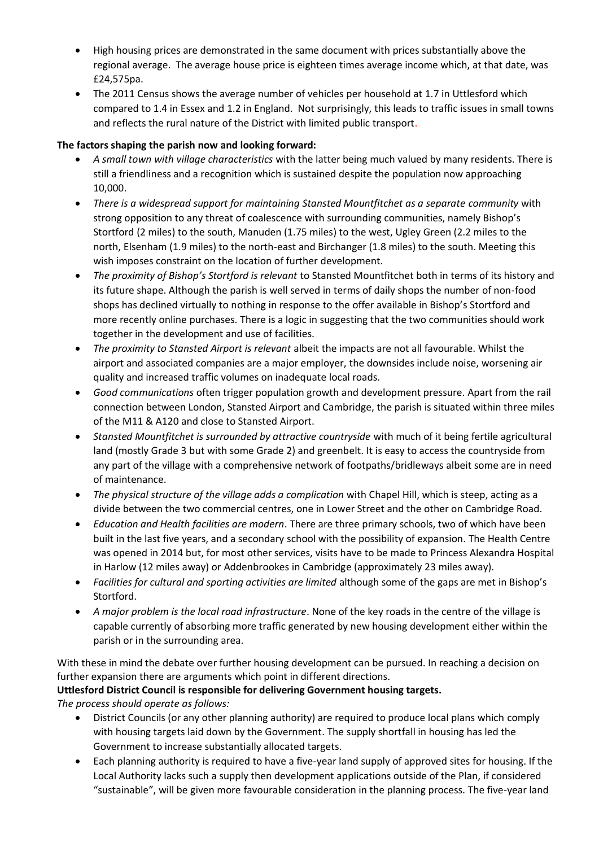- High housing prices are demonstrated in the same document with prices substantially above the regional average. The average house price is eighteen times average income which, at that date, was £24,575pa.
- The 2011 Census shows the average number of vehicles per household at 1.7 in Uttlesford which compared to 1.4 in Essex and 1.2 in England. Not surprisingly, this leads to traffic issues in small towns and reflects the rural nature of the District with limited public transport.

# **The factors shaping the parish now and looking forward:**

- *A small town with village characteristics* with the latter being much valued by many residents. There is still a friendliness and a recognition which is sustained despite the population now approaching 10,000.
- *There is a widespread support for maintaining Stansted Mountfitchet as a separate community* with strong opposition to any threat of coalescence with surrounding communities, namely Bishop's Stortford (2 miles) to the south, Manuden (1.75 miles) to the west, Ugley Green (2.2 miles to the north, Elsenham (1.9 miles) to the north-east and Birchanger (1.8 miles) to the south. Meeting this wish imposes constraint on the location of further development.
- *The proximity of Bishop's Stortford is relevant* to Stansted Mountfitchet both in terms of its history and its future shape. Although the parish is well served in terms of daily shops the number of non-food shops has declined virtually to nothing in response to the offer available in Bishop's Stortford and more recently online purchases. There is a logic in suggesting that the two communities should work together in the development and use of facilities.
- *The proximity to Stansted Airport is relevant* albeit the impacts are not all favourable. Whilst the airport and associated companies are a major employer, the downsides include noise, worsening air quality and increased traffic volumes on inadequate local roads.
- *Good communications* often trigger population growth and development pressure. Apart from the rail connection between London, Stansted Airport and Cambridge, the parish is situated within three miles of the M11 & A120 and close to Stansted Airport.
- *Stansted Mountfitchet is surrounded by attractive countryside* with much of it being fertile agricultural land (mostly Grade 3 but with some Grade 2) and greenbelt. It is easy to access the countryside from any part of the village with a comprehensive network of footpaths/bridleways albeit some are in need of maintenance.
- *The physical structure of the village adds a complication* with Chapel Hill, which is steep, acting as a divide between the two commercial centres, one in Lower Street and the other on Cambridge Road.
- *Education and Health facilities are modern*. There are three primary schools, two of which have been built in the last five years, and a secondary school with the possibility of expansion. The Health Centre was opened in 2014 but, for most other services, visits have to be made to Princess Alexandra Hospital in Harlow (12 miles away) or Addenbrookes in Cambridge (approximately 23 miles away).
- *Facilities for cultural and sporting activities are limited* although some of the gaps are met in Bishop's Stortford.
- *A major problem is the local road infrastructure*. None of the key roads in the centre of the village is capable currently of absorbing more traffic generated by new housing development either within the parish or in the surrounding area.

With these in mind the debate over further housing development can be pursued. In reaching a decision on further expansion there are arguments which point in different directions.

# **Uttlesford District Council is responsible for delivering Government housing targets.**

*The process should operate as follows:*

- District Councils (or any other planning authority) are required to produce local plans which comply with housing targets laid down by the Government. The supply shortfall in housing has led the Government to increase substantially allocated targets.
- Each planning authority is required to have a five-year land supply of approved sites for housing. If the Local Authority lacks such a supply then development applications outside of the Plan, if considered "sustainable", will be given more favourable consideration in the planning process. The five-year land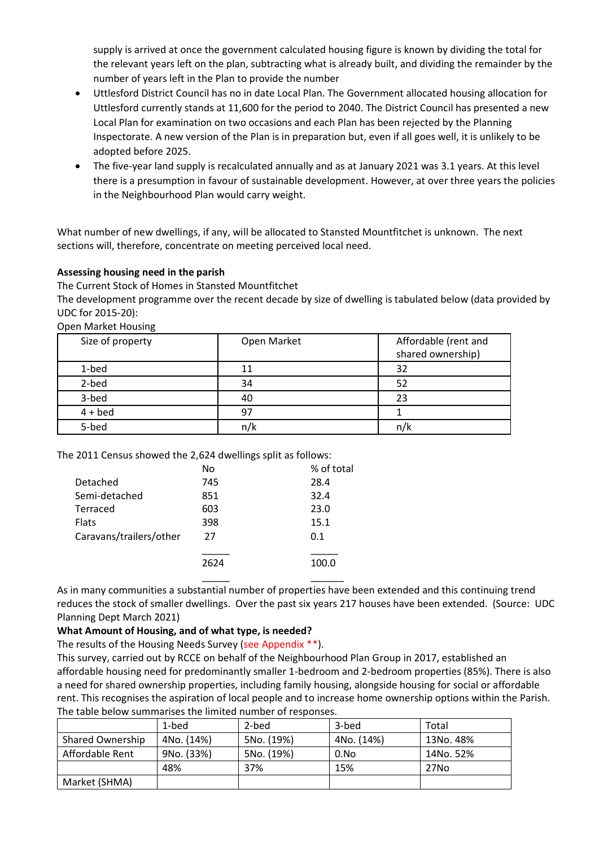supply is arrived at once the government calculated housing figure is known by dividing the total for the relevant years left on the plan, subtracting what is already built, and dividing the remainder by the number of years left in the Plan to provide the number

- Uttlesford District Council has no in date Local Plan. The Government allocated housing allocation for Uttlesford currently stands at 11,600 for the period to 2040. The District Council has presented a new Local Plan for examination on two occasions and each Plan has been rejected by the Planning Inspectorate. A new version of the Plan is in preparation but, even if all goes well, it is unlikely to be adopted before 2025.
- The five-year land supply is recalculated annually and as at January 2021 was 3.1 years. At this level there is a presumption in favour of sustainable development. However, at over three years the policies in the Neighbourhood Plan would carry weight.

What number of new dwellings, if any, will be allocated to Stansted Mountfitchet is unknown. The next sections will, therefore, concentrate on meeting perceived local need.

### **Assessing housing need in the parish**

The Current Stock of Homes in Stansted Mountfitchet

The development programme over the recent decade by size of dwelling is tabulated below (data provided by UDC for 2015-20):

Open Market Housing

| Size of property | Open Market | Affordable (rent and<br>shared ownership) |
|------------------|-------------|-------------------------------------------|
| 1-bed            | 11          | 32                                        |
| 2-bed            | 34          | 52                                        |
| 3-bed            | 40          | 23                                        |
| $4 + bed$        | 97          |                                           |
| 5-bed            |             | n/                                        |

The 2011 Census showed the 2,624 dwellings split as follows:

|                         | No   | % of total |
|-------------------------|------|------------|
| Detached                | 745  | 28.4       |
| Semi-detached           | 851  | 32.4       |
| Terraced                | 603  | 23.0       |
| <b>Flats</b>            | 398  | 15.1       |
| Caravans/trailers/other | 27   | 0.1        |
|                         | 2624 |            |

As in many communities a substantial number of properties have been extended and this continuing trend reduces the stock of smaller dwellings. Over the past six years 217 houses have been extended. (Source: UDC Planning Dept March 2021)

\_\_\_\_\_ \_\_\_\_\_\_

#### **What Amount of Housing, and of what type, is needed?**

The results of the Housing Needs Survey (see Appendix \*\*).

This survey, carried out by RCCE on behalf of the Neighbourhood Plan Group in 2017, established an affordable housing need for predominantly smaller 1-bedroom and 2-bedroom properties (85%). There is also a need for shared ownership properties, including family housing, alongside housing for social or affordable rent. This recognises the aspiration of local people and to increase home ownership options within the Parish. The table below summarises the limited number of responses.

|                         | 1-bed      | 2-bed      | 3-bed      | Total     |
|-------------------------|------------|------------|------------|-----------|
| <b>Shared Ownership</b> | 4No. (14%) | 5No. (19%) | 4No. (14%) | 13No. 48% |
| Affordable Rent         | 9No. (33%) | 5No. (19%) | 0.No       | 14No. 52% |
|                         | 48%        | 37%        | 15%        | 27No      |
| Market (SHMA)           |            |            |            |           |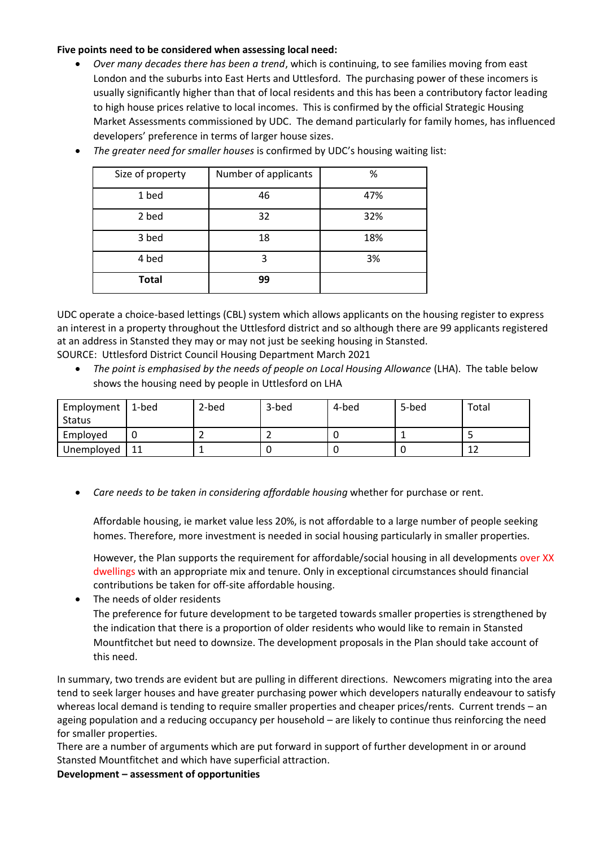### **Five points need to be considered when assessing local need:**

• *Over many decades there has been a trend*, which is continuing, to see families moving from east London and the suburbs into East Herts and Uttlesford. The purchasing power of these incomers is usually significantly higher than that of local residents and this has been a contributory factor leading to high house prices relative to local incomes. This is confirmed by the official Strategic Housing Market Assessments commissioned by UDC. The demand particularly for family homes, has influenced developers' preference in terms of larger house sizes.

| Size of property | Number of applicants | %   |
|------------------|----------------------|-----|
| 1 bed            | 46                   | 47% |
| 2 bed            | 32                   | 32% |
| 3 bed            | 18                   | 18% |
| 4 bed            | 3                    | 3%  |
| <b>Total</b>     | 99                   |     |

• *The greater need for smaller houses* is confirmed by UDC's housing waiting list:

UDC operate a choice-based lettings (CBL) system which allows applicants on the housing register to express an interest in a property throughout the Uttlesford district and so although there are 99 applicants registered at an address in Stansted they may or may not just be seeking housing in Stansted.

SOURCE: Uttlesford District Council Housing Department March 2021

• *The point is emphasised by the needs of people on Local Housing Allowance* (LHA). The table below shows the housing need by people in Uttlesford on LHA

| Employment | 1-bed | 2-bed | 3-bed | 4-bed | 5-bed | Total |
|------------|-------|-------|-------|-------|-------|-------|
| Status     |       |       |       |       |       |       |
| Employed   |       |       |       |       |       |       |
| Unemployed | 11    |       |       |       |       | ∸     |

• *Care needs to be taken in considering affordable housing* whether for purchase or rent.

Affordable housing, ie market value less 20%, is not affordable to a large number of people seeking homes. Therefore, more investment is needed in social housing particularly in smaller properties.

However, the Plan supports the requirement for affordable/social housing in all developments over XX dwellings with an appropriate mix and tenure. Only in exceptional circumstances should financial contributions be taken for off-site affordable housing.

• The needs of older residents

The preference for future development to be targeted towards smaller properties is strengthened by the indication that there is a proportion of older residents who would like to remain in Stansted Mountfitchet but need to downsize. The development proposals in the Plan should take account of this need.

In summary, two trends are evident but are pulling in different directions. Newcomers migrating into the area tend to seek larger houses and have greater purchasing power which developers naturally endeavour to satisfy whereas local demand is tending to require smaller properties and cheaper prices/rents. Current trends – an ageing population and a reducing occupancy per household – are likely to continue thus reinforcing the need for smaller properties.

There are a number of arguments which are put forward in support of further development in or around Stansted Mountfitchet and which have superficial attraction.

**Development – assessment of opportunities**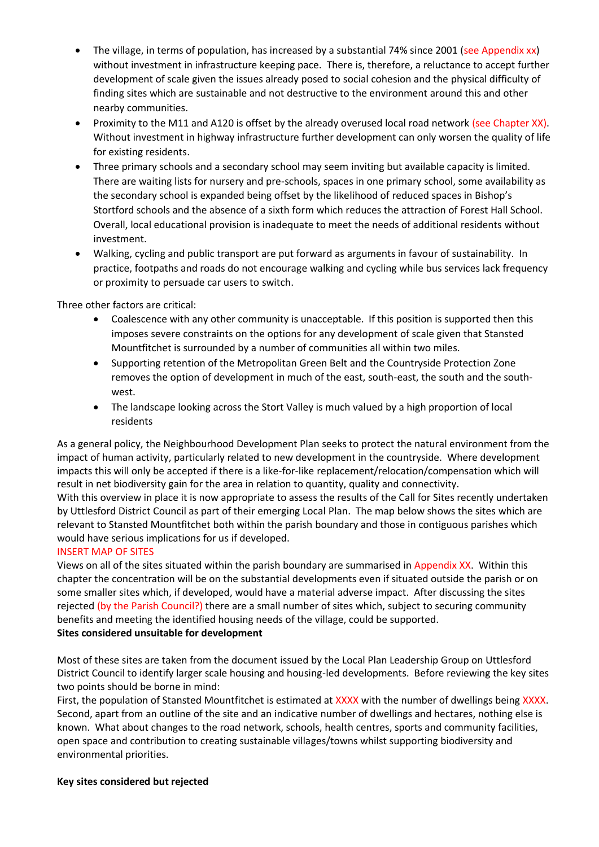- The village, in terms of population, has increased by a substantial 74% since 2001 (see Appendix xx) without investment in infrastructure keeping pace. There is, therefore, a reluctance to accept further development of scale given the issues already posed to social cohesion and the physical difficulty of finding sites which are sustainable and not destructive to the environment around this and other nearby communities.
- Proximity to the M11 and A120 is offset by the already overused local road network (see Chapter XX). Without investment in highway infrastructure further development can only worsen the quality of life for existing residents.
- Three primary schools and a secondary school may seem inviting but available capacity is limited. There are waiting lists for nursery and pre-schools, spaces in one primary school, some availability as the secondary school is expanded being offset by the likelihood of reduced spaces in Bishop's Stortford schools and the absence of a sixth form which reduces the attraction of Forest Hall School. Overall, local educational provision is inadequate to meet the needs of additional residents without investment.
- Walking, cycling and public transport are put forward as arguments in favour of sustainability. In practice, footpaths and roads do not encourage walking and cycling while bus services lack frequency or proximity to persuade car users to switch.

Three other factors are critical:

- Coalescence with any other community is unacceptable. If this position is supported then this imposes severe constraints on the options for any development of scale given that Stansted Mountfitchet is surrounded by a number of communities all within two miles.
- Supporting retention of the Metropolitan Green Belt and the Countryside Protection Zone removes the option of development in much of the east, south-east, the south and the southwest.
- The landscape looking across the Stort Valley is much valued by a high proportion of local residents

As a general policy, the Neighbourhood Development Plan seeks to protect the natural environment from the impact of human activity, particularly related to new development in the countryside. Where development impacts this will only be accepted if there is a like-for-like replacement/relocation/compensation which will result in net biodiversity gain for the area in relation to quantity, quality and connectivity.

With this overview in place it is now appropriate to assess the results of the Call for Sites recently undertaken by Uttlesford District Council as part of their emerging Local Plan. The map below shows the sites which are relevant to Stansted Mountfitchet both within the parish boundary and those in contiguous parishes which would have serious implications for us if developed.

# INSERT MAP OF SITES

Views on all of the sites situated within the parish boundary are summarised in Appendix XX. Within this chapter the concentration will be on the substantial developments even if situated outside the parish or on some smaller sites which, if developed, would have a material adverse impact. After discussing the sites rejected (by the Parish Council?) there are a small number of sites which, subject to securing community benefits and meeting the identified housing needs of the village, could be supported. **Sites considered unsuitable for development**

Most of these sites are taken from the document issued by the Local Plan Leadership Group on Uttlesford District Council to identify larger scale housing and housing-led developments. Before reviewing the key sites two points should be borne in mind:

First, the population of Stansted Mountfitchet is estimated at XXXX with the number of dwellings being XXXX. Second, apart from an outline of the site and an indicative number of dwellings and hectares, nothing else is known. What about changes to the road network, schools, health centres, sports and community facilities, open space and contribution to creating sustainable villages/towns whilst supporting biodiversity and environmental priorities.

#### **Key sites considered but rejected**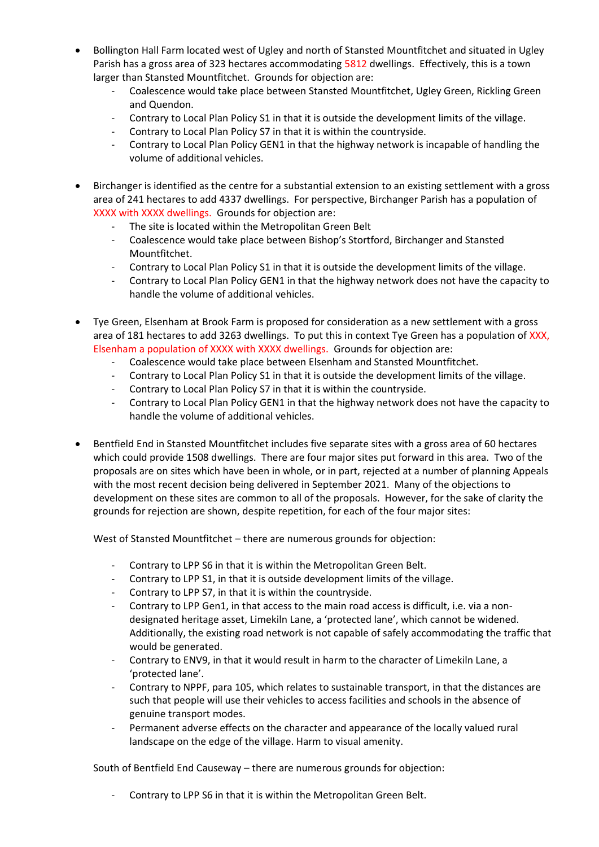- Bollington Hall Farm located west of Ugley and north of Stansted Mountfitchet and situated in Ugley Parish has a gross area of 323 hectares accommodating 5812 dwellings. Effectively, this is a town larger than Stansted Mountfitchet. Grounds for objection are:
	- Coalescence would take place between Stansted Mountfitchet, Ugley Green, Rickling Green and Quendon.
	- Contrary to Local Plan Policy S1 in that it is outside the development limits of the village.
	- Contrary to Local Plan Policy S7 in that it is within the countryside.
	- Contrary to Local Plan Policy GEN1 in that the highway network is incapable of handling the volume of additional vehicles.
- Birchanger is identified as the centre for a substantial extension to an existing settlement with a gross area of 241 hectares to add 4337 dwellings. For perspective, Birchanger Parish has a population of XXXX with XXXX dwellings. Grounds for objection are:
	- The site is located within the Metropolitan Green Belt
	- Coalescence would take place between Bishop's Stortford, Birchanger and Stansted Mountfitchet.
	- Contrary to Local Plan Policy S1 in that it is outside the development limits of the village.
	- Contrary to Local Plan Policy GEN1 in that the highway network does not have the capacity to handle the volume of additional vehicles.
- Tye Green, Elsenham at Brook Farm is proposed for consideration as a new settlement with a gross area of 181 hectares to add 3263 dwellings. To put this in context Tye Green has a population of XXX, Elsenham a population of XXXX with XXXX dwellings. Grounds for objection are:
	- Coalescence would take place between Elsenham and Stansted Mountfitchet.
	- Contrary to Local Plan Policy S1 in that it is outside the development limits of the village.
	- Contrary to Local Plan Policy S7 in that it is within the countryside.
	- Contrary to Local Plan Policy GEN1 in that the highway network does not have the capacity to handle the volume of additional vehicles.
- Bentfield End in Stansted Mountfitchet includes five separate sites with a gross area of 60 hectares which could provide 1508 dwellings. There are four major sites put forward in this area. Two of the proposals are on sites which have been in whole, or in part, rejected at a number of planning Appeals with the most recent decision being delivered in September 2021. Many of the objections to development on these sites are common to all of the proposals. However, for the sake of clarity the grounds for rejection are shown, despite repetition, for each of the four major sites:

West of Stansted Mountfitchet – there are numerous grounds for objection:

- Contrary to LPP S6 in that it is within the Metropolitan Green Belt.
- Contrary to LPP S1, in that it is outside development limits of the village.
- Contrary to LPP S7, in that it is within the countryside.
- Contrary to LPP Gen1, in that access to the main road access is difficult, i.e. via a nondesignated heritage asset, Limekiln Lane, a 'protected lane', which cannot be widened. Additionally, the existing road network is not capable of safely accommodating the traffic that would be generated.
- Contrary to ENV9, in that it would result in harm to the character of Limekiln Lane, a 'protected lane'.
- Contrary to NPPF, para 105, which relates to sustainable transport, in that the distances are such that people will use their vehicles to access facilities and schools in the absence of genuine transport modes.
- Permanent adverse effects on the character and appearance of the locally valued rural landscape on the edge of the village. Harm to visual amenity.

South of Bentfield End Causeway – there are numerous grounds for objection:

- Contrary to LPP S6 in that it is within the Metropolitan Green Belt.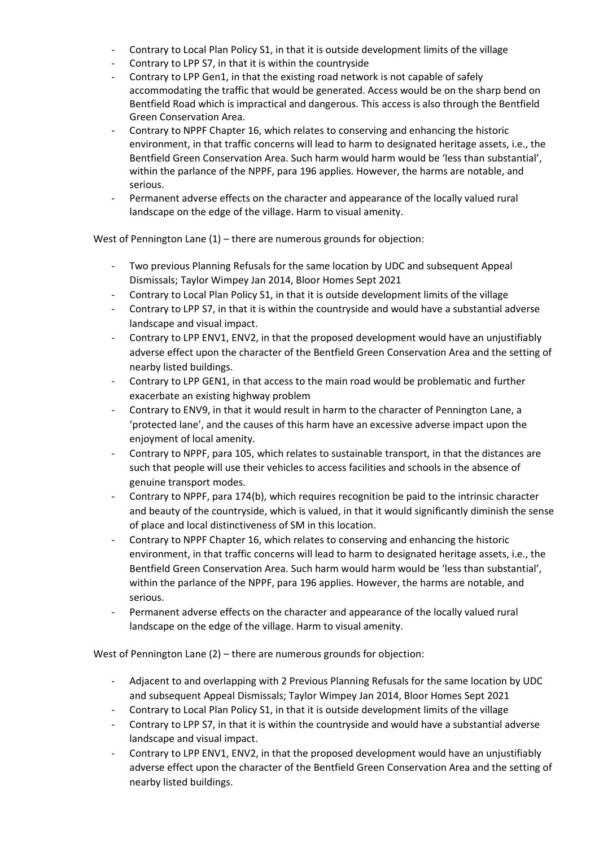- Contrary to Local Plan Policy S1, in that it is outside development limits of the village
- Contrary to LPP S7, in that it is within the countryside
- Contrary to LPP Gen1, in that the existing road network is not capable of safely accommodating the traffic that would be generated. Access would be on the sharp bend on Bentfield Road which is impractical and dangerous. This access is also through the Bentfield Green Conservation Area.
- Contrary to NPPF Chapter 16, which relates to conserving and enhancing the historic environment, in that traffic concerns will lead to harm to designated heritage assets, i.e., the Bentfield Green Conservation Area. Such harm would harm would be 'less than substantial', within the parlance of the NPPF, para 196 applies. However, the harms are notable, and serious.
- Permanent adverse effects on the character and appearance of the locally valued rural landscape on the edge of the village. Harm to visual amenity.

West of Pennington Lane (1) – there are numerous grounds for objection:

- Two previous Planning Refusals for the same location by UDC and subsequent Appeal Dismissals; Taylor Wimpey Jan 2014, Bloor Homes Sept 2021
- Contrary to Local Plan Policy S1, in that it is outside development limits of the village
- Contrary to LPP S7, in that it is within the countryside and would have a substantial adverse landscape and visual impact.
- Contrary to LPP ENV1, ENV2, in that the proposed development would have an unjustifiably adverse effect upon the character of the Bentfield Green Conservation Area and the setting of nearby listed buildings.
- Contrary to LPP GEN1, in that access to the main road would be problematic and further exacerbate an existing highway problem
- Contrary to ENV9, in that it would result in harm to the character of Pennington Lane, a 'protected lane', and the causes of this harm have an excessive adverse impact upon the enjoyment of local amenity.
- Contrary to NPPF, para 105, which relates to sustainable transport, in that the distances are such that people will use their vehicles to access facilities and schools in the absence of genuine transport modes.
- Contrary to NPPF, para 174(b), which requires recognition be paid to the intrinsic character and beauty of the countryside, which is valued, in that it would significantly diminish the sense of place and local distinctiveness of SM in this location.
- Contrary to NPPF Chapter 16, which relates to conserving and enhancing the historic environment, in that traffic concerns will lead to harm to designated heritage assets, i.e., the Bentfield Green Conservation Area. Such harm would harm would be 'less than substantial', within the parlance of the NPPF, para 196 applies. However, the harms are notable, and serious.
- Permanent adverse effects on the character and appearance of the locally valued rural landscape on the edge of the village. Harm to visual amenity.

West of Pennington Lane (2) – there are numerous grounds for objection:

- Adjacent to and overlapping with 2 Previous Planning Refusals for the same location by UDC and subsequent Appeal Dismissals; Taylor Wimpey Jan 2014, Bloor Homes Sept 2021
- Contrary to Local Plan Policy S1, in that it is outside development limits of the village
- Contrary to LPP S7, in that it is within the countryside and would have a substantial adverse landscape and visual impact.
- Contrary to LPP ENV1, ENV2, in that the proposed development would have an unjustifiably adverse effect upon the character of the Bentfield Green Conservation Area and the setting of nearby listed buildings.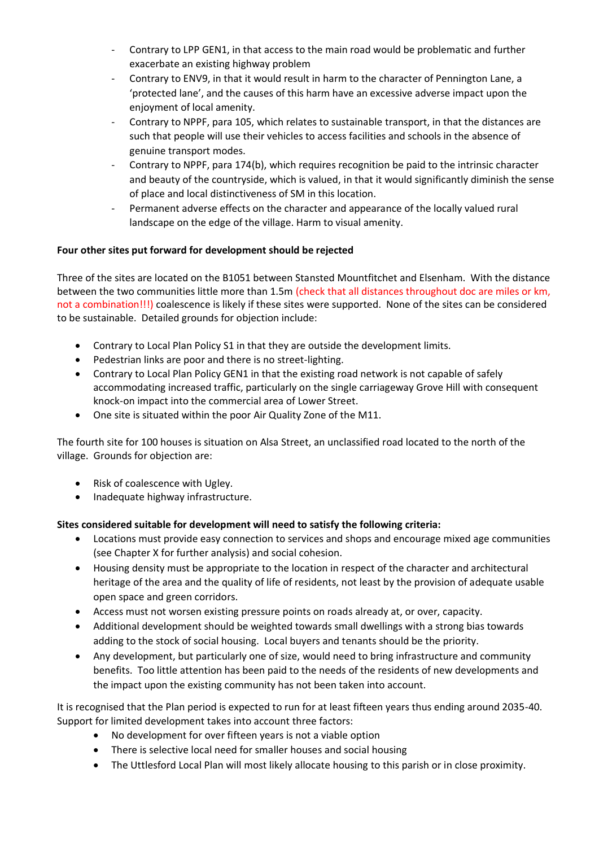- Contrary to LPP GEN1, in that access to the main road would be problematic and further exacerbate an existing highway problem
- Contrary to ENV9, in that it would result in harm to the character of Pennington Lane, a 'protected lane', and the causes of this harm have an excessive adverse impact upon the enjoyment of local amenity.
- Contrary to NPPF, para 105, which relates to sustainable transport, in that the distances are such that people will use their vehicles to access facilities and schools in the absence of genuine transport modes.
- Contrary to NPPF, para 174(b), which requires recognition be paid to the intrinsic character and beauty of the countryside, which is valued, in that it would significantly diminish the sense of place and local distinctiveness of SM in this location.
- Permanent adverse effects on the character and appearance of the locally valued rural landscape on the edge of the village. Harm to visual amenity.

# **Four other sites put forward for development should be rejected**

Three of the sites are located on the B1051 between Stansted Mountfitchet and Elsenham. With the distance between the two communities little more than 1.5m (check that all distances throughout doc are miles or km, not a combination!!!) coalescence is likely if these sites were supported. None of the sites can be considered to be sustainable. Detailed grounds for objection include:

- Contrary to Local Plan Policy S1 in that they are outside the development limits.
- Pedestrian links are poor and there is no street-lighting.
- Contrary to Local Plan Policy GEN1 in that the existing road network is not capable of safely accommodating increased traffic, particularly on the single carriageway Grove Hill with consequent knock-on impact into the commercial area of Lower Street.
- One site is situated within the poor Air Quality Zone of the M11.

The fourth site for 100 houses is situation on Alsa Street, an unclassified road located to the north of the village. Grounds for objection are:

- Risk of coalescence with Ugley.
- Inadequate highway infrastructure.

# **Sites considered suitable for development will need to satisfy the following criteria:**

- Locations must provide easy connection to services and shops and encourage mixed age communities (see Chapter X for further analysis) and social cohesion.
- Housing density must be appropriate to the location in respect of the character and architectural heritage of the area and the quality of life of residents, not least by the provision of adequate usable open space and green corridors.
- Access must not worsen existing pressure points on roads already at, or over, capacity.
- Additional development should be weighted towards small dwellings with a strong bias towards adding to the stock of social housing. Local buyers and tenants should be the priority.
- Any development, but particularly one of size, would need to bring infrastructure and community benefits. Too little attention has been paid to the needs of the residents of new developments and the impact upon the existing community has not been taken into account.

It is recognised that the Plan period is expected to run for at least fifteen years thus ending around 2035-40. Support for limited development takes into account three factors:

- No development for over fifteen years is not a viable option
- There is selective local need for smaller houses and social housing
- The Uttlesford Local Plan will most likely allocate housing to this parish or in close proximity.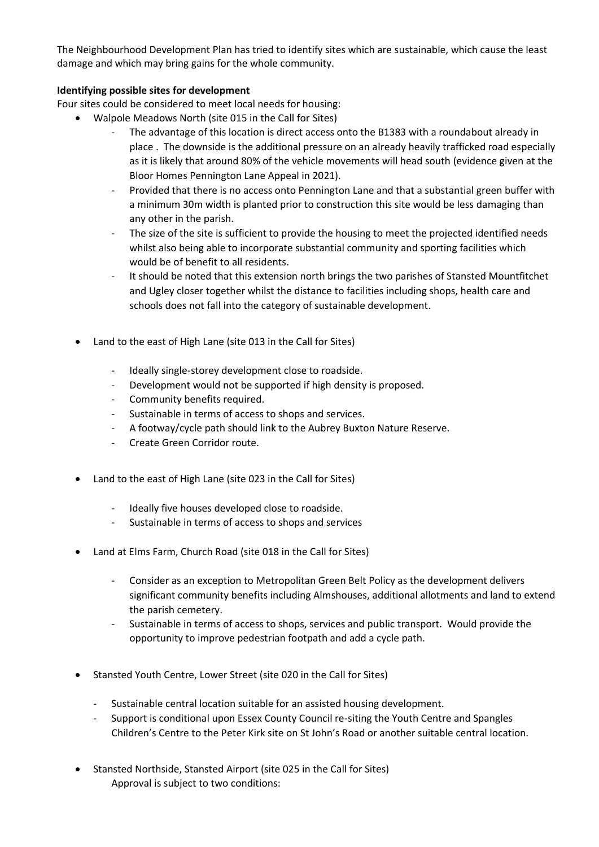The Neighbourhood Development Plan has tried to identify sites which are sustainable, which cause the least damage and which may bring gains for the whole community.

# **Identifying possible sites for development**

Four sites could be considered to meet local needs for housing:

- Walpole Meadows North (site 015 in the Call for Sites)
	- The advantage of this location is direct access onto the B1383 with a roundabout already in place . The downside is the additional pressure on an already heavily trafficked road especially as it is likely that around 80% of the vehicle movements will head south (evidence given at the Bloor Homes Pennington Lane Appeal in 2021).
	- Provided that there is no access onto Pennington Lane and that a substantial green buffer with a minimum 30m width is planted prior to construction this site would be less damaging than any other in the parish.
	- The size of the site is sufficient to provide the housing to meet the projected identified needs whilst also being able to incorporate substantial community and sporting facilities which would be of benefit to all residents.
	- It should be noted that this extension north brings the two parishes of Stansted Mountfitchet and Ugley closer together whilst the distance to facilities including shops, health care and schools does not fall into the category of sustainable development.
- Land to the east of High Lane (site 013 in the Call for Sites)
	- Ideally single-storey development close to roadside.
	- Development would not be supported if high density is proposed.
	- Community benefits required.
	- Sustainable in terms of access to shops and services.
	- A footway/cycle path should link to the Aubrey Buxton Nature Reserve.
	- Create Green Corridor route.
- Land to the east of High Lane (site 023 in the Call for Sites)
	- Ideally five houses developed close to roadside.
	- Sustainable in terms of access to shops and services
- Land at Elms Farm, Church Road (site 018 in the Call for Sites)
	- Consider as an exception to Metropolitan Green Belt Policy as the development delivers significant community benefits including Almshouses, additional allotments and land to extend the parish cemetery.
	- Sustainable in terms of access to shops, services and public transport. Would provide the opportunity to improve pedestrian footpath and add a cycle path.
- Stansted Youth Centre, Lower Street (site 020 in the Call for Sites)
	- Sustainable central location suitable for an assisted housing development.
	- Support is conditional upon Essex County Council re-siting the Youth Centre and Spangles Children's Centre to the Peter Kirk site on St John's Road or another suitable central location.
- Stansted Northside, Stansted Airport (site 025 in the Call for Sites) Approval is subject to two conditions: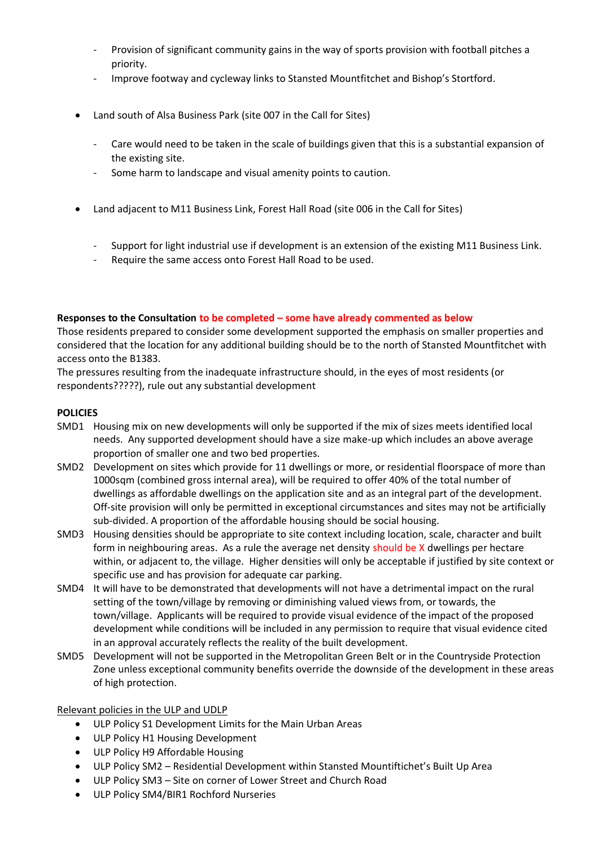- Provision of significant community gains in the way of sports provision with football pitches a priority.
- Improve footway and cycleway links to Stansted Mountfitchet and Bishop's Stortford.
- Land south of Alsa Business Park (site 007 in the Call for Sites)
	- Care would need to be taken in the scale of buildings given that this is a substantial expansion of the existing site.
	- Some harm to landscape and visual amenity points to caution.
- Land adjacent to M11 Business Link, Forest Hall Road (site 006 in the Call for Sites)
	- Support for light industrial use if development is an extension of the existing M11 Business Link.
	- Require the same access onto Forest Hall Road to be used.

### **Responses to the Consultation to be completed – some have already commented as below**

Those residents prepared to consider some development supported the emphasis on smaller properties and considered that the location for any additional building should be to the north of Stansted Mountfitchet with access onto the B1383.

The pressures resulting from the inadequate infrastructure should, in the eyes of most residents (or respondents?????), rule out any substantial development

# **POLICIES**

- SMD1 Housing mix on new developments will only be supported if the mix of sizes meets identified local needs. Any supported development should have a size make-up which includes an above average proportion of smaller one and two bed properties.
- SMD2 Development on sites which provide for 11 dwellings or more, or residential floorspace of more than 1000sqm (combined gross internal area), will be required to offer 40% of the total number of dwellings as affordable dwellings on the application site and as an integral part of the development. Off-site provision will only be permitted in exceptional circumstances and sites may not be artificially sub-divided. A proportion of the affordable housing should be social housing.
- SMD3 Housing densities should be appropriate to site context including location, scale, character and built form in neighbouring areas. As a rule the average net density should be X dwellings per hectare within, or adjacent to, the village. Higher densities will only be acceptable if justified by site context or specific use and has provision for adequate car parking.
- SMD4 It will have to be demonstrated that developments will not have a detrimental impact on the rural setting of the town/village by removing or diminishing valued views from, or towards, the town/village. Applicants will be required to provide visual evidence of the impact of the proposed development while conditions will be included in any permission to require that visual evidence cited in an approval accurately reflects the reality of the built development.
- SMD5 Development will not be supported in the Metropolitan Green Belt or in the Countryside Protection Zone unless exceptional community benefits override the downside of the development in these areas of high protection.

# Relevant policies in the ULP and UDLP

- ULP Policy S1 Development Limits for the Main Urban Areas
- ULP Policy H1 Housing Development
- ULP Policy H9 Affordable Housing
- ULP Policy SM2 Residential Development within Stansted Mountiftichet's Built Up Area
- ULP Policy SM3 Site on corner of Lower Street and Church Road
- ULP Policy SM4/BIR1 Rochford Nurseries